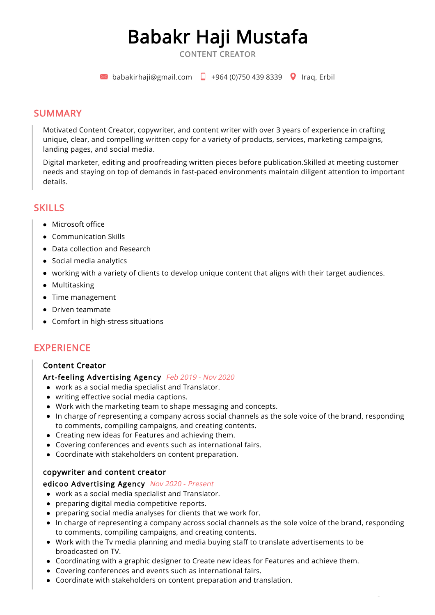# Babakr Haji Mustafa

CONTENT CREATOR

 $\blacktriangleright$  babakirhaii@gmail.com  $\Box$  +964 (0)750 439 8339  $\Box$  Iraq, Erbil

#### SUMMARY

Motivated Content Creator, copywriter, and content writer with over 3 years of experience in crafting unique, clear, and compelling written copy for a variety of products, services, marketing campaigns, landing pages, and social media.

Digital marketer, editing and proofreading written pieces before publication.Skilled at meeting customer needs and staying on top of demands in fast-paced environments maintain diligent attention to important details.

### **SKILLS**

- Microsoft office
- Communication Skills
- Data collection and Research
- Social media analytics
- working with a variety of clients to develop unique content that aligns with their target audiences.
- Multitasking
- Time management
- Driven teammate
- Comfort in high-stress situations

# EXPERIENCE

#### Content Creator

#### Art-feeling Advertising Agency Feb 2019 - Nov 2020

- work as a social media specialist and Translator.
- writing effective social media captions.
- Work with the marketing team to shape messaging and concepts.
- In charge of representing a company across social channels as the sole voice of the brand, responding to comments, compiling campaigns, and creating contents.
- Creating new ideas for Features and achieving them.
- Covering conferences and events such as international fairs.
- Coordinate with stakeholders on content preparation.

#### copywriter and content creator

#### edicoo Advertising Agency Nov 2020 - Present

- work as a social media specialist and Translator.
- preparing digital media competitive reports.
- preparing social media analyses for clients that we work for.
- In charge of representing a company across social channels as the sole voice of the brand, responding to comments, compiling campaigns, and creating contents.
- Work with the Tv media planning and media buying staff to translate advertisements to be broadcasted on TV.
- Coordinating with a graphic designer to Create new ideas for Features and achieve them.
- Covering conferences and events such as international fairs.
- Coordinate with stakeholders on content preparation and translation.